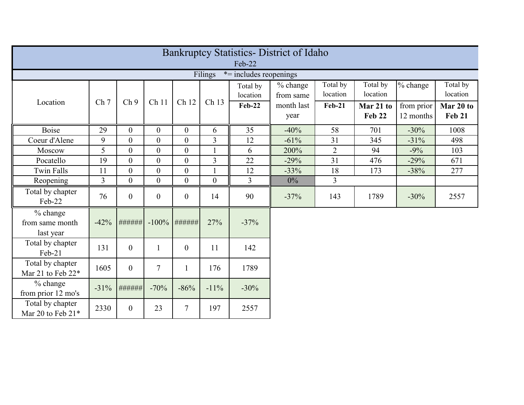| <b>Bankruptcy Statistics- District of Idaho</b> |                 |                  |                  |                  |                  |                      |                       |                      |                            |                         |                            |
|-------------------------------------------------|-----------------|------------------|------------------|------------------|------------------|----------------------|-----------------------|----------------------|----------------------------|-------------------------|----------------------------|
| Feb-22                                          |                 |                  |                  |                  |                  |                      |                       |                      |                            |                         |                            |
| Filings<br>$*$ = includes reopenings            |                 |                  |                  |                  |                  |                      |                       |                      |                            |                         |                            |
|                                                 | Ch <sub>7</sub> | Ch <sub>9</sub>  | Ch 11            | Ch 12            | Ch 13            | Total by<br>location | % change<br>from same | Total by<br>location | Total by<br>location       | % change                | Total by<br>location       |
| Location                                        |                 |                  |                  |                  |                  | <b>Feb-22</b>        | month last<br>year    | <b>Feb-21</b>        | Mar 21 to<br><b>Feb 22</b> | from prior<br>12 months | Mar 20 to<br><b>Feb 21</b> |
| <b>Boise</b>                                    | 29              | $\overline{0}$   | $\theta$         | $\overline{0}$   | 6                | 35                   | $-40%$                | 58                   | 701                        | $-30%$                  | 1008                       |
| Coeur d'Alene                                   | 9               | $\overline{0}$   | $\boldsymbol{0}$ | $\overline{0}$   | 3                | 12                   | $-61%$                | 31                   | 345                        | $-31%$                  | 498                        |
| Moscow                                          | 5               | $\theta$         | $\overline{0}$   | $\overline{0}$   | $\mathbf{1}$     | 6                    | 200%                  | $\overline{2}$       | 94                         | $-9%$                   | 103                        |
| Pocatello                                       | 19              | $\theta$         | $\theta$         | $\overline{0}$   | 3                | 22                   | $-29%$                | 31                   | 476                        | $-29%$                  | 671                        |
| <b>Twin Falls</b>                               | 11              | $\overline{0}$   | $\theta$         | $\overline{0}$   |                  | 12                   | $-33%$                | 18                   | 173                        | $-38%$                  | 277                        |
| Reopening                                       | $\overline{3}$  | $\overline{0}$   | $\theta$         | $\overline{0}$   | $\boldsymbol{0}$ | $\overline{3}$       | $0\%$                 | $\overline{3}$       |                            |                         |                            |
| Total by chapter<br>Feb-22                      | 76              | $\overline{0}$   | $\theta$         | $\overline{0}$   | 14               | 90                   | $-37%$                | 143                  | 1789                       | $-30%$                  | 2557                       |
| % change<br>from same month<br>last year        | $-42%$          | ######           | $-100%$          | #######          | 27%              | $-37%$               |                       |                      |                            |                         |                            |
| Total by chapter<br>$Feb-21$                    | 131             | $\boldsymbol{0}$ | $\mathbf{1}$     | $\boldsymbol{0}$ | 11               | 142                  |                       |                      |                            |                         |                            |
| Total by chapter<br>Mar 21 to Feb 22*           | 1605            | $\overline{0}$   | $\overline{7}$   | $\mathbf{1}$     | 176              | 1789                 |                       |                      |                            |                         |                            |
| % change<br>from prior 12 mo's                  | $-31%$          | ######           | $-70%$           | $-86%$           | $-11%$           | $-30%$               |                       |                      |                            |                         |                            |
| Total by chapter<br>Mar 20 to Feb 21*           | 2330            | $\overline{0}$   | 23               | $\overline{7}$   | 197              | 2557                 |                       |                      |                            |                         |                            |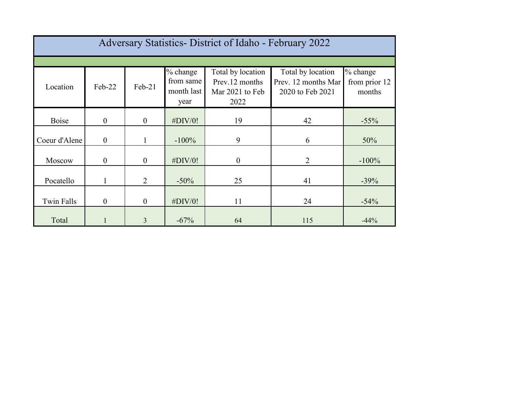| Adversary Statistics- District of Idaho - February 2022 |                  |                  |                                             |                                                                |                                                              |                                     |  |  |  |
|---------------------------------------------------------|------------------|------------------|---------------------------------------------|----------------------------------------------------------------|--------------------------------------------------------------|-------------------------------------|--|--|--|
|                                                         |                  |                  |                                             |                                                                |                                                              |                                     |  |  |  |
| Location                                                | Feb-22           | Feb-21           | % change<br>from same<br>month last<br>year | Total by location<br>Prev.12 months<br>Mar 2021 to Feb<br>2022 | Total by location<br>Prev. 12 months Mar<br>2020 to Feb 2021 | % change<br>from prior 12<br>months |  |  |  |
| Boise                                                   | $\boldsymbol{0}$ | $\boldsymbol{0}$ | $\#$ DIV/0!                                 | 19                                                             | 42                                                           | $-55%$                              |  |  |  |
| Coeur d'Alene                                           | $\mathbf{0}$     |                  | $-100%$                                     | 9                                                              | 6                                                            | 50%                                 |  |  |  |
| Moscow                                                  | $\theta$         | $\overline{0}$   | $\#$ DIV/0!                                 | $\overline{0}$                                                 | 2                                                            | $-100%$                             |  |  |  |
| Pocatello                                               |                  | $\overline{2}$   | $-50\%$                                     | 25                                                             | 41                                                           | $-39%$                              |  |  |  |
| <b>Twin Falls</b>                                       | $\theta$         | $\overline{0}$   | $\#$ DIV/0!                                 | 11                                                             | 24                                                           | $-54%$                              |  |  |  |
| Total                                                   |                  | 3                | $-67%$                                      | 64                                                             | 115                                                          | $-44%$                              |  |  |  |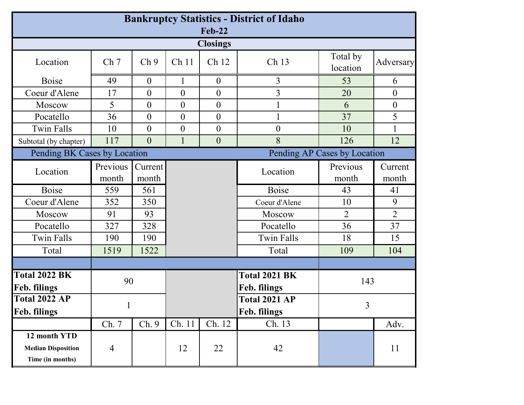| <b>Bankruptcy Statistics - District of Idaho</b><br><b>Feb-22</b> |                   |                  |                           |                     |                               |                      |                  |  |
|-------------------------------------------------------------------|-------------------|------------------|---------------------------|---------------------|-------------------------------|----------------------|------------------|--|
| <b>Closings</b>                                                   |                   |                  |                           |                     |                               |                      |                  |  |
| Location                                                          | Ch <sub>7</sub>   | Ch <sub>9</sub>  | Ch <sub>11</sub><br>Ch 12 |                     | Ch 13                         | Total by<br>location | Adversary        |  |
| <b>Boise</b>                                                      | 49                | $\overline{0}$   |                           | $\theta$            | 3                             | 53                   | 6                |  |
| Coeur d'Alene                                                     | 17                | $\overline{0}$   | $\overline{0}$            | $\boldsymbol{0}$    | $\overline{3}$                | 20                   | $\overline{0}$   |  |
| Moscow                                                            | 5                 | $\overline{0}$   | $\overline{0}$            | $\boldsymbol{0}$    |                               | 6                    | $\theta$         |  |
| Pocatello                                                         | 36                | $\overline{0}$   | $\overline{0}$            | $\boldsymbol{0}$    |                               | 37                   | 5                |  |
| <b>Twin Falls</b>                                                 | 10                | $\overline{0}$   | $\overline{0}$            | $\boldsymbol{0}$    | $\boldsymbol{0}$              | 10                   |                  |  |
| Subtotal (by chapter)                                             | 117               | $\overline{0}$   | $\mathbf{1}$              | $\boldsymbol{0}$    | 8                             | 126                  | 12               |  |
| Pending BK Cases by Location<br>Pending AP Cases by Location      |                   |                  |                           |                     |                               |                      |                  |  |
| Location                                                          | Previous<br>month | Current<br>month |                           |                     | Location                      | Previous<br>month    | Current<br>month |  |
| <b>Boise</b>                                                      | 559               | 561              |                           |                     | <b>Boise</b>                  | 43                   | 41               |  |
| Coeur d'Alene                                                     | 352               | 350              |                           |                     | Coeur d'Alene                 | 10                   | 9                |  |
| Moscow                                                            | 91                | 93               |                           |                     | Moscow                        | $\overline{2}$       | $\overline{2}$   |  |
| Pocatello                                                         | 327               | 328              |                           |                     | Pocatello                     | 36                   | 37               |  |
| <b>Twin Falls</b>                                                 | 190               | 190              |                           |                     | <b>Twin Falls</b>             | 18                   | 15               |  |
| Total                                                             | 1519              | 1522             |                           |                     | Total                         | 109                  | 104              |  |
|                                                                   |                   |                  |                           |                     |                               |                      |                  |  |
| <b>Total 2022 BK</b><br>Feb. filings                              | 90                |                  |                           |                     | Total 2021 BK<br>Feb. filings |                      | 143              |  |
| <b>Total 2022 AP</b>                                              |                   |                  |                           | Total 2021 AP       | 3                             |                      |                  |  |
| Feb. filings                                                      |                   |                  |                           | <b>Feb. filings</b> |                               |                      |                  |  |
|                                                                   | Ch. 7             | Ch. 9            | Ch. 11                    | Ch. 12              | Ch. 13                        |                      | Adv.             |  |
| 12 month YTD<br><b>Median Disposition</b><br>Time (in months)     | $\overline{4}$    |                  | 12                        | 22                  | 42                            |                      | 11               |  |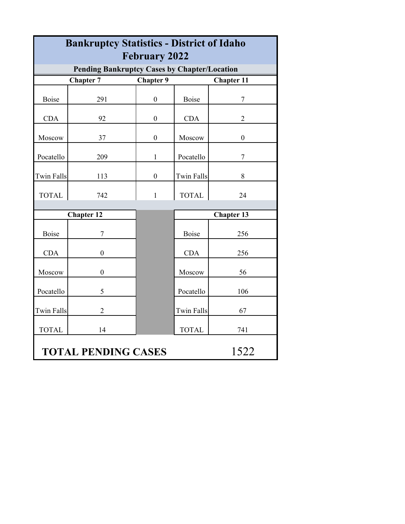| <b>Bankruptcy Statistics - District of Idaho</b>                                                                 |                   |                  |                   |                   |  |  |  |  |
|------------------------------------------------------------------------------------------------------------------|-------------------|------------------|-------------------|-------------------|--|--|--|--|
| <b>February 2022</b>                                                                                             |                   |                  |                   |                   |  |  |  |  |
| <b>Pending Bankruptcy Cases by Chapter/Location</b><br><b>Chapter 7</b><br><b>Chapter 9</b><br><b>Chapter 11</b> |                   |                  |                   |                   |  |  |  |  |
| <b>Boise</b>                                                                                                     | 291               | $\mathbf{0}$     | <b>Boise</b>      | $\overline{7}$    |  |  |  |  |
| <b>CDA</b>                                                                                                       | 92                | $\boldsymbol{0}$ | <b>CDA</b>        | $\overline{2}$    |  |  |  |  |
| Moscow                                                                                                           | 37                | $\boldsymbol{0}$ | Moscow            | $\boldsymbol{0}$  |  |  |  |  |
| Pocatello                                                                                                        | 209               | $\mathbf{1}$     | Pocatello         | $\overline{7}$    |  |  |  |  |
| <b>Twin Falls</b>                                                                                                | 113               | $\boldsymbol{0}$ | <b>Twin Falls</b> | 8                 |  |  |  |  |
| <b>TOTAL</b>                                                                                                     | 742               | $\mathbf{1}$     | <b>TOTAL</b>      | 24                |  |  |  |  |
|                                                                                                                  | <b>Chapter 12</b> |                  |                   | <b>Chapter 13</b> |  |  |  |  |
| <b>Boise</b>                                                                                                     | 7                 |                  | Boise             | 256               |  |  |  |  |
| <b>CDA</b>                                                                                                       | $\boldsymbol{0}$  |                  | <b>CDA</b>        | 256               |  |  |  |  |
| Moscow                                                                                                           | $\boldsymbol{0}$  |                  | Moscow            | 56                |  |  |  |  |
| Pocatello                                                                                                        | 5                 |                  | Pocatello         | 106               |  |  |  |  |
| <b>Twin Falls</b>                                                                                                | $\overline{2}$    |                  | <b>Twin Falls</b> | 67                |  |  |  |  |
| <b>TOTAL</b>                                                                                                     | 14                |                  | <b>TOTAL</b>      | 741               |  |  |  |  |
| 1522<br><b>TOTAL PENDING CASES</b>                                                                               |                   |                  |                   |                   |  |  |  |  |